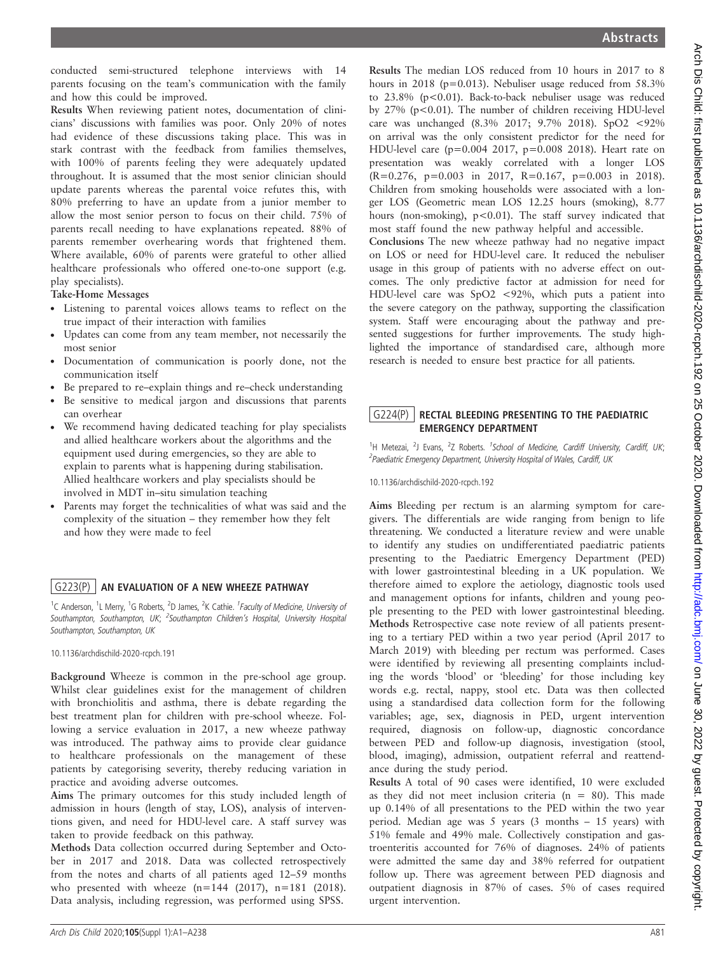conducted semi-structured telephone interviews with 14 parents focusing on the team's communication with the family and how this could be improved.

Results When reviewing patient notes, documentation of clinicians' discussions with families was poor. Only 20% of notes had evidence of these discussions taking place. This was in stark contrast with the feedback from families themselves, with 100% of parents feeling they were adequately updated throughout. It is assumed that the most senior clinician should update parents whereas the parental voice refutes this, with 80% preferring to have an update from a junior member to allow the most senior person to focus on their child. 75% of parents recall needing to have explanations repeated. 88% of parents remember overhearing words that frightened them. Where available, 60% of parents were grateful to other allied healthcare professionals who offered one-to-one support (e.g. play specialists).

#### Take-Home Messages

- . Listening to parental voices allows teams to reflect on the true impact of their interaction with families
- . Updates can come from any team member, not necessarily the most senior
- . Documentation of communication is poorly done, not the communication itself
- . Be prepared to re–explain things and re–check understanding
- . Be sensitive to medical jargon and discussions that parents can overhear
- We recommend having dedicated teaching for play specialists and allied healthcare workers about the algorithms and the equipment used during emergencies, so they are able to explain to parents what is happening during stabilisation. Allied healthcare workers and play specialists should be involved in MDT in–situ simulation teaching
- . Parents may forget the technicalities of what was said and the complexity of the situation – they remember how they felt and how they were made to feel

#### G223(P) | AN EVALUATION OF A NEW WHEEZE PATHWAY

<sup>1</sup>C Anderson, <sup>1</sup>L Merry, <sup>1</sup>G Roberts, <sup>2</sup>D James, <sup>2</sup>K Cathie. <sup>1</sup>Faculty of Medicine, University of Southampton, Southampton, UK; <sup>2</sup>Southampton Children's Hospital, University Hospital Southampton, Southampton, UK

10.1136/archdischild-2020-rcpch.191

Background Wheeze is common in the pre-school age group. Whilst clear guidelines exist for the management of children with bronchiolitis and asthma, there is debate regarding the best treatment plan for children with pre-school wheeze. Following a service evaluation in 2017, a new wheeze pathway was introduced. The pathway aims to provide clear guidance to healthcare professionals on the management of these patients by categorising severity, thereby reducing variation in practice and avoiding adverse outcomes.

Aims The primary outcomes for this study included length of admission in hours (length of stay, LOS), analysis of interventions given, and need for HDU-level care. A staff survey was taken to provide feedback on this pathway.

Methods Data collection occurred during September and October in 2017 and 2018. Data was collected retrospectively from the notes and charts of all patients aged 12–59 months who presented with wheeze (n=144 (2017), n=181 (2018). Data analysis, including regression, was performed using SPSS.

Results The median LOS reduced from 10 hours in 2017 to 8 hours in 2018 (p=0.013). Nebuliser usage reduced from 58.3% to 23.8% (p<0.01). Back-to-back nebuliser usage was reduced by 27% (p<0.01). The number of children receiving HDU-level care was unchanged (8.3% 2017; 9.7% 2018). SpO2 <92% on arrival was the only consistent predictor for the need for HDU-level care (p=0.004 2017, p=0.008 2018). Heart rate on presentation was weakly correlated with a longer LOS (R=0.276, p=0.003 in 2017, R=0.167, p=0.003 in 2018). Children from smoking households were associated with a longer LOS (Geometric mean LOS 12.25 hours (smoking), 8.77 hours (non-smoking), p<0.01). The staff survey indicated that most staff found the new pathway helpful and accessible.

Conclusions The new wheeze pathway had no negative impact on LOS or need for HDU-level care. It reduced the nebuliser usage in this group of patients with no adverse effect on outcomes. The only predictive factor at admission for need for HDU-level care was SpO2 <92%, which puts a patient into the severe category on the pathway, supporting the classification system. Staff were encouraging about the pathway and presented suggestions for further improvements. The study highlighted the importance of standardised care, although more research is needed to ensure best practice for all patients.

## G224(P) RECTAL BLEEDING PRESENTING TO THE PAEDIATRIC EMERGENCY DEPARTMENT

<sup>1</sup>H Metezai, <sup>2</sup>J Evans, <sup>2</sup>Z Roberts. <sup>1</sup>School of Medicine, Cardiff University, Cardiff, UK; <sup>2</sup>Paediatric Emergency Department, University Hospital of Wales, Cardiff, UK

10.1136/archdischild-2020-rcpch.192

Aims Bleeding per rectum is an alarming symptom for caregivers. The differentials are wide ranging from benign to life threatening. We conducted a literature review and were unable to identify any studies on undifferentiated paediatric patients presenting to the Paediatric Emergency Department (PED) with lower gastrointestinal bleeding in a UK population. We therefore aimed to explore the aetiology, diagnostic tools used and management options for infants, children and young people presenting to the PED with lower gastrointestinal bleeding. Methods Retrospective case note review of all patients presenting to a tertiary PED within a two year period (April 2017 to March 2019) with bleeding per rectum was performed. Cases were identified by reviewing all presenting complaints including the words 'blood' or 'bleeding' for those including key words e.g. rectal, nappy, stool etc. Data was then collected using a standardised data collection form for the following variables; age, sex, diagnosis in PED, urgent intervention required, diagnosis on follow-up, diagnostic concordance between PED and follow-up diagnosis, investigation (stool, blood, imaging), admission, outpatient referral and reattendance during the study period.

Results A total of 90 cases were identified, 10 were excluded as they did not meet inclusion criteria ( $n = 80$ ). This made up 0.14% of all presentations to the PED within the two year period. Median age was 5 years (3 months – 15 years) with 51% female and 49% male. Collectively constipation and gastroenteritis accounted for 76% of diagnoses. 24% of patients were admitted the same day and 38% referred for outpatient follow up. There was agreement between PED diagnosis and outpatient diagnosis in 87% of cases. 5% of cases required urgent intervention.